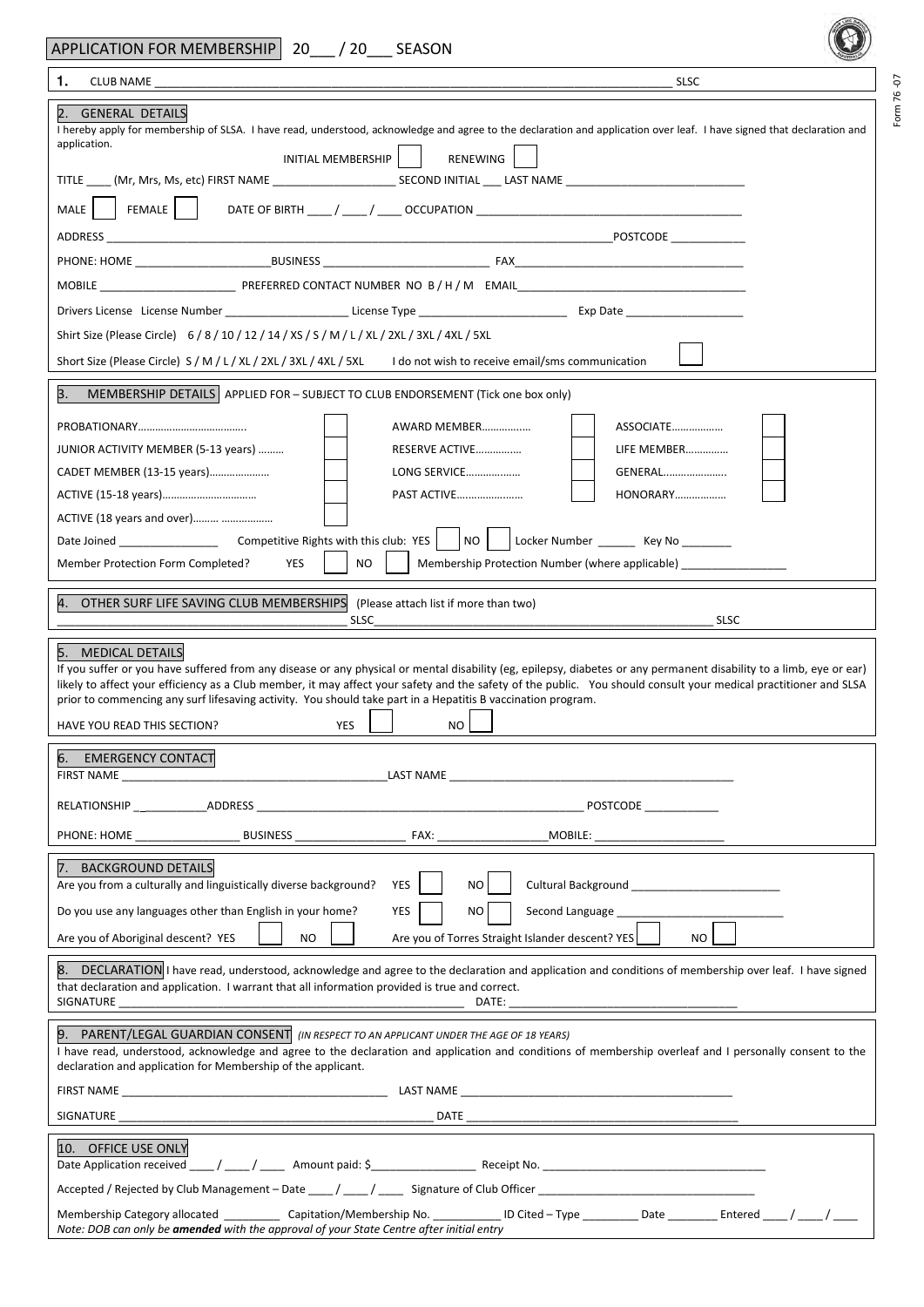| APPLICATION FOR MEMBERSHIP 20 / 20 SEASON                                                                                                                                                                                                                                                                                                                                                                                                                                                                                         |
|-----------------------------------------------------------------------------------------------------------------------------------------------------------------------------------------------------------------------------------------------------------------------------------------------------------------------------------------------------------------------------------------------------------------------------------------------------------------------------------------------------------------------------------|
| 1.<br><b>SLSC</b>                                                                                                                                                                                                                                                                                                                                                                                                                                                                                                                 |
| 2. GENERAL DETAILS<br>I hereby apply for membership of SLSA. I have read, understood, acknowledge and agree to the declaration and application over leaf. I have signed that declaration and<br>application.<br>INITIAL MEMBERSHIP<br>RENEWING                                                                                                                                                                                                                                                                                    |
| $FEMALE$  <br>MALE                                                                                                                                                                                                                                                                                                                                                                                                                                                                                                                |
|                                                                                                                                                                                                                                                                                                                                                                                                                                                                                                                                   |
|                                                                                                                                                                                                                                                                                                                                                                                                                                                                                                                                   |
|                                                                                                                                                                                                                                                                                                                                                                                                                                                                                                                                   |
| Shirt Size (Please Circle) 6/8/10/12/14/XS/S/M/L/XL/2XL/3XL/4XL/5XL                                                                                                                                                                                                                                                                                                                                                                                                                                                               |
| Short Size (Please Circle) S / M / L / XL / 2XL / 3XL / 4XL / 5XL I do not wish to receive email/sms communication                                                                                                                                                                                                                                                                                                                                                                                                                |
| 3.<br>MEMBERSHIP DETAILS APPLIED FOR - SUBJECT TO CLUB ENDORSEMENT (Tick one box only)                                                                                                                                                                                                                                                                                                                                                                                                                                            |
| ASSOCIATE<br>AWARD MEMBER<br>RESERVE ACTIVE<br>LIFE MEMBER<br>JUNIOR ACTIVITY MEMBER (5-13 years)<br>LONG SERVICE<br>GENERAL<br>CADET MEMBER (13-15 years)<br><b>PAST ACTIVE</b><br>HONORARY<br>ACTIVE (18 years and over)<br>Locker Number _________ Key No ________                                                                                                                                                                                                                                                             |
| <b>NO</b><br>YES<br>Membership Protection Number (where applicable) ________________________________<br>Member Protection Form Completed?                                                                                                                                                                                                                                                                                                                                                                                         |
| 4. OTHER SURF LIFE SAVING CLUB MEMBERSHIPS<br>(Please attach list if more than two)<br><b>SLSC</b><br>SLSC                                                                                                                                                                                                                                                                                                                                                                                                                        |
| 5. MEDICAL DETAILS<br>If you suffer or you have suffered from any disease or any physical or mental disability (eg, epilepsy, diabetes or any permanent disability to a limb, eye or ear)<br>likely to affect your efficiency as a Club member, it may affect your safety and the safety of the public. You should consult your medical practitioner and SLSA<br>prior to commencing any surf lifesaving activity. You should take part in a Hepatitis B vaccination program.<br><b>YES</b><br>HAVE YOU READ THIS SECTION?<br>NO. |
| 6. EMERGENCY CONTACT                                                                                                                                                                                                                                                                                                                                                                                                                                                                                                              |
| POSTCODE ____________                                                                                                                                                                                                                                                                                                                                                                                                                                                                                                             |
|                                                                                                                                                                                                                                                                                                                                                                                                                                                                                                                                   |
| 7. BACKGROUND DETAILS<br>Are you from a culturally and linguistically diverse background?<br>YES<br><b>NO</b><br><b>Cultural Background Cultural Background</b>                                                                                                                                                                                                                                                                                                                                                                   |
| Do you use any languages other than English in your home?<br><b>YES</b><br>NO<br>Second Language                                                                                                                                                                                                                                                                                                                                                                                                                                  |
| Are you of Torres Straight Islander descent? YES<br>Are you of Aboriginal descent? YES<br><b>NO</b><br>NO.                                                                                                                                                                                                                                                                                                                                                                                                                        |
| 8. DECLARATION I have read, understood, acknowledge and agree to the declaration and application and conditions of membership over leaf. I have signed<br>that declaration and application. I warrant that all information provided is true and correct.<br>SIGNATURE<br>DATE:                                                                                                                                                                                                                                                    |
| 9. PARENT/LEGAL GUARDIAN CONSENT (IN RESPECT TO AN APPLICANT UNDER THE AGE OF 18 YEARS)<br>I have read, understood, acknowledge and agree to the declaration and application and conditions of membership overleaf and I personally consent to the<br>declaration and application for Membership of the applicant.                                                                                                                                                                                                                |
|                                                                                                                                                                                                                                                                                                                                                                                                                                                                                                                                   |
| SIGNATURE                                                                                                                                                                                                                                                                                                                                                                                                                                                                                                                         |
| 10. OFFICE USE ONLY                                                                                                                                                                                                                                                                                                                                                                                                                                                                                                               |
|                                                                                                                                                                                                                                                                                                                                                                                                                                                                                                                                   |
| Membership Category allocated _____________ Capitation/Membership No. _____________ ID Cited - Type __________ Date _________ Entered _____/ _____/ ______<br>Note: DOB can only be amended with the approval of your State Centre after initial entry                                                                                                                                                                                                                                                                            |

Form 76 -07

Form 76-07